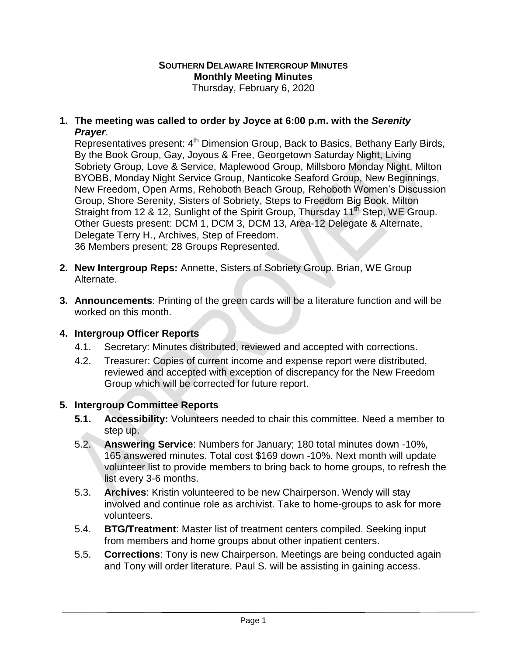#### **SOUTHERN DELAWARE INTERGROUP MINUTES Monthly Meeting Minutes** Thursday, February 6, 2020

### **1. The meeting was called to order by Joyce at 6:00 p.m. with the** *Serenity Prayer*.

Representatives present: 4<sup>th</sup> Dimension Group, Back to Basics, Bethany Early Birds, By the Book Group, Gay, Joyous & Free, Georgetown Saturday Night, Living Sobriety Group, Love & Service, Maplewood Group, Millsboro Monday Night, Milton BYOBB, Monday Night Service Group, Nanticoke Seaford Group, New Beginnings, New Freedom, Open Arms, Rehoboth Beach Group, Rehoboth Women's Discussion Group, Shore Serenity, Sisters of Sobriety, Steps to Freedom Big Book, Milton Straight from 12 & 12, Sunlight of the Spirit Group, Thursday 11<sup>th</sup> Step, WE Group. Other Guests present: DCM 1, DCM 3, DCM 13, Area-12 Delegate & Alternate, Delegate Terry H., Archives, Step of Freedom. 36 Members present; 28 Groups Represented.

**2. New Intergroup Reps:** Annette, Sisters of Sobriety Group. Brian, WE Group

- Alternate.
- **3. Announcements**: Printing of the green cards will be a literature function and will be worked on this month.

## **4. Intergroup Officer Reports**

- 4.1. Secretary: Minutes distributed, reviewed and accepted with corrections.
- 4.2. Treasurer: Copies of current income and expense report were distributed, reviewed and accepted with exception of discrepancy for the New Freedom Group which will be corrected for future report.

## **5. Intergroup Committee Reports**

- **5.1. Accessibility:** Volunteers needed to chair this committee. Need a member to step up.
- 5.2. **Answering Service**: Numbers for January; 180 total minutes down -10%, 165 answered minutes. Total cost \$169 down -10%. Next month will update volunteer list to provide members to bring back to home groups, to refresh the list every 3-6 months.
- 5.3. **Archives**: Kristin volunteered to be new Chairperson. Wendy will stay involved and continue role as archivist. Take to home-groups to ask for more volunteers.
- 5.4. **BTG/Treatment**: Master list of treatment centers compiled. Seeking input from members and home groups about other inpatient centers.
- 5.5. **Corrections**: Tony is new Chairperson. Meetings are being conducted again and Tony will order literature. Paul S. will be assisting in gaining access.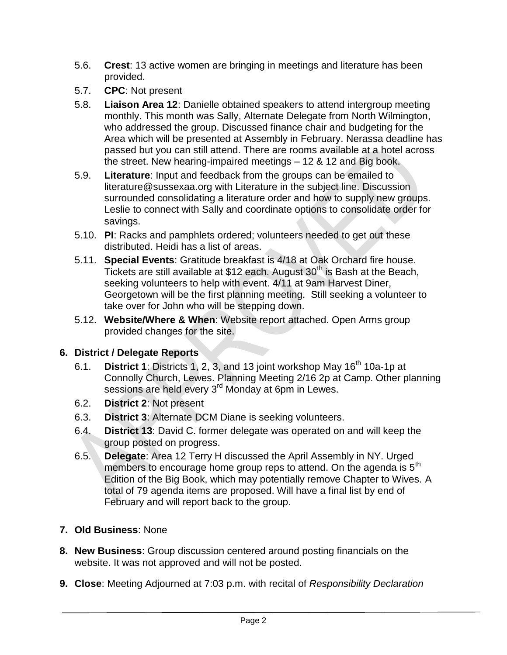- 5.6. **Crest**: 13 active women are bringing in meetings and literature has been provided.
- 5.7. **CPC**: Not present
- 5.8. **Liaison Area 12**: Danielle obtained speakers to attend intergroup meeting monthly. This month was Sally, Alternate Delegate from North Wilmington, who addressed the group. Discussed finance chair and budgeting for the Area which will be presented at Assembly in February. Nerassa deadline has passed but you can still attend. There are rooms available at a hotel across the street. New hearing-impaired meetings – 12 & 12 and Big book.
- 5.9. **Literature**: Input and feedback from the groups can be emailed to literature@sussexaa.org with Literature in the subject line. Discussion surrounded consolidating a literature order and how to supply new groups. Leslie to connect with Sally and coordinate options to consolidate order for savings.
- 5.10. **PI**: Racks and pamphlets ordered; volunteers needed to get out these distributed. Heidi has a list of areas.
- 5.11. **Special Events**: Gratitude breakfast is 4/18 at Oak Orchard fire house. Tickets are still available at \$12 each. August  $30<sup>th</sup>$  is Bash at the Beach, seeking volunteers to help with event. 4/11 at 9am Harvest Diner, Georgetown will be the first planning meeting. Still seeking a volunteer to take over for John who will be stepping down.
- 5.12. **Website/Where & When**: Website report attached. Open Arms group provided changes for the site.

# **6. District / Delegate Reports**

- 6.1. **District 1**: Districts 1, 2, 3, and 13 joint workshop May 16<sup>th</sup> 10a-1p at Connolly Church, Lewes. Planning Meeting 2/16 2p at Camp. Other planning sessions are held every 3<sup>rd</sup> Monday at 6pm in Lewes.
- 6.2. **District 2**: Not present
- 6.3. **District 3**: Alternate DCM Diane is seeking volunteers.
- 6.4. **District 13**: David C. former delegate was operated on and will keep the group posted on progress.
- 6.5. **Delegate**: Area 12 Terry H discussed the April Assembly in NY. Urged members to encourage home group reps to attend. On the agenda is 5<sup>th</sup> Edition of the Big Book, which may potentially remove Chapter to Wives. A total of 79 agenda items are proposed. Will have a final list by end of February and will report back to the group.
- **7. Old Business**: None
- **8. New Business**: Group discussion centered around posting financials on the website. It was not approved and will not be posted.
- **9. Close**: Meeting Adjourned at 7:03 p.m. with recital of *Responsibility Declaration*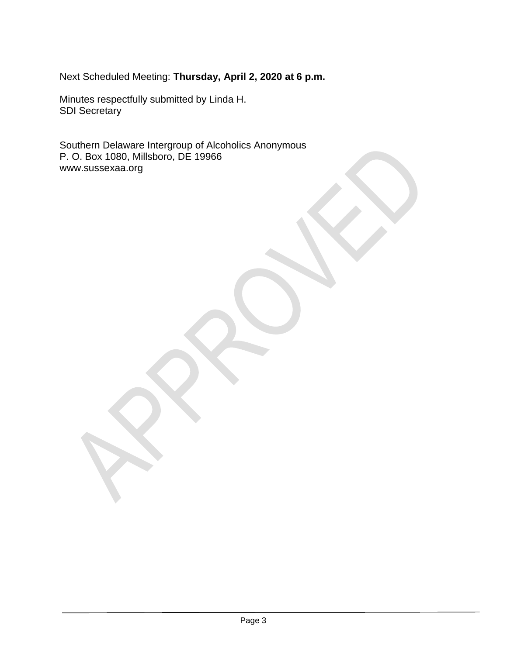Next Scheduled Meeting: **Thursday, April 2, 2020 at 6 p.m.**

Minutes respectfully submitted by Linda H. SDI Secretary

Southern Delaware Intergroup of Alcoholics Anonymous P. O. Box 1080, Millsboro, DE 19966 www.sussexaa.org